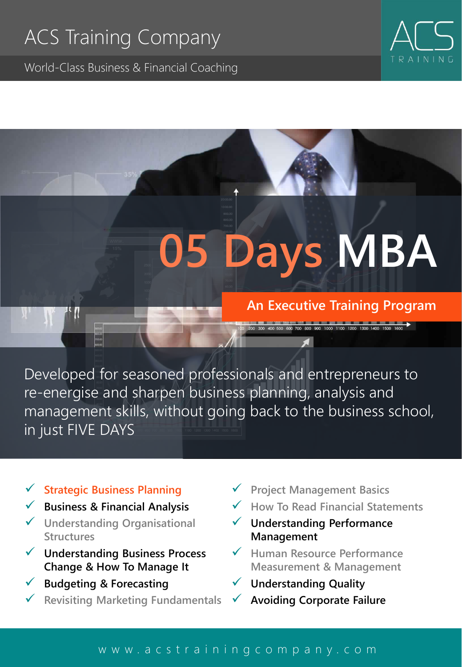### ACS Training Company

World-Class Business & Financial Coaching



## **05 Days MBA**

#### **An Executive Training Program**

Developed for seasoned professionals and entrepreneurs to re-energise and sharpen business planning, analysis and management skills, without going back to the business school, in just FIVE DAYS

#### ✓ **Strategic Business Planning**

- ✓ **Business & Financial Analysis**
- ✓ **Understanding Organisational Structures**
- ✓ **Understanding Business Process Change & How To Manage It**
- ✓ **Budgeting & Forecasting**
- ✓ **Revisiting Marketing Fundamentals**
- ✓ **Project Management Basics**
- ✓ **How To Read Financial Statements**
- ✓ **Understanding Performance Management**
- ✓ **Human Resource Performance Measurement & Management**
- ✓ **Understanding Quality**
	- ✓ **Avoiding Corporate Failure**

#### [w w w . a c s t r a i n i n g c o m p a n y . c o m](http://www.acstrainingcompany.com/)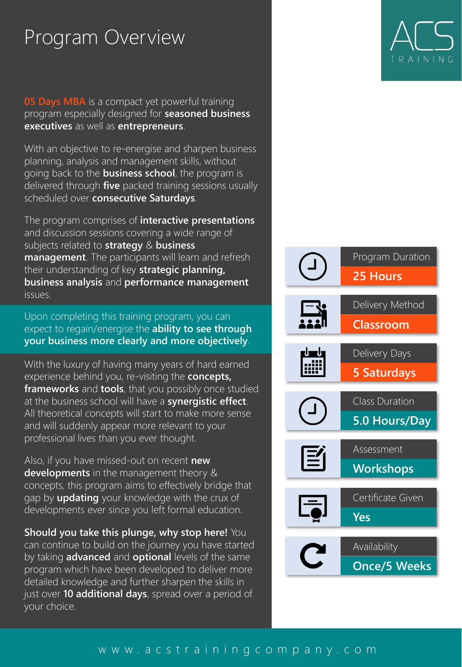#### Program Overview

**05 Days MBA** is a compact yet powerful training program especially designed for **seasoned business executives** as well as **entrepreneurs**.

With an objective to re-energise and sharpen business planning, analysis and management skills, without going back to the **business school**, the program is delivered through **five** packed training sessions usually scheduled over **consecutive Saturdays**.

The program comprises of **interactive presentations**  and discussion sessions covering a wide range of subjects related to **strategy** & **business management**. The participants will learn and refresh their understanding of key **strategic planning, business analysis** and **performance management** issues.

Upon completing this training program, you can Upon completing this training program, you can expect to regain/energise the **ability to see through**  expect to regain/energise the **ability to see through your business more clearly and more objectively**. **your business more clearly and more objectively**.

With the luxury of having many years of hard earned experience behind you, re-visiting the **concepts, frameworks** and **tools**, that you possibly once studied at the business school will have a **synergistic effect**. All theoretical concepts will start to make more sense and will suddenly appear more relevant to your professional lives than you ever thought.

Also, if you have missed-out on recent **new developments** in the management theory & concepts, this program aims to effectively bridge that gap by **updating** your knowledge with the crux of developments ever since you left formal education.

**Should you take this plunge, why stop here!** You can continue to build on the journey you have started by taking **advanced** and **optional** levels of the same program which have been developed to deliver more detailed knowledge and further sharpen the skills in just over **10 additional days**, spread over a period of your choice.

# TRAININ



#### [w w w . a c s t r a i n i n g c o m p a n y . c o m](http://www.acstrainingcompany.com/)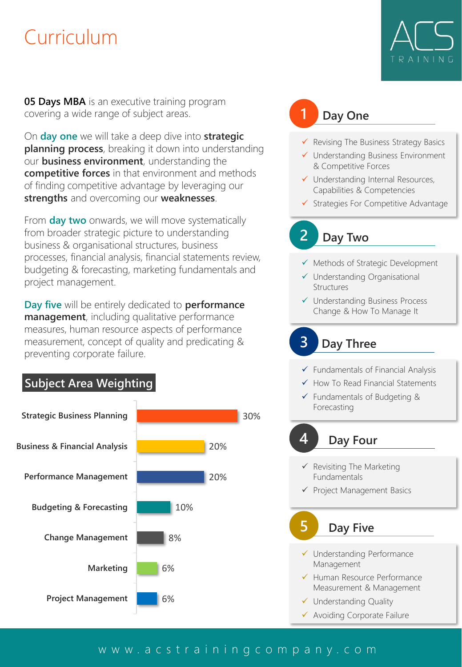#### Curriculum

**05 Days MBA** is an executive training program covering a wide range of subject areas.

On **day one** we will take a deep dive into **strategic planning process**, breaking it down into understanding our **business environment**, understanding the **competitive forces** in that environment and methods of finding competitive advantage by leveraging our **strengths** and overcoming our **weaknesses**.

From **day two** onwards, we will move systematically from broader strategic picture to understanding business & organisational structures, business processes, financial analysis, financial statements review, budgeting & forecasting, marketing fundamentals and project management.

**Day five** will be entirely dedicated to **performance management**, including qualitative performance measures, human resource aspects of performance measurement, concept of quality and predicating & preventing corporate failure.

#### **Subject Area Weighting**



#### **1 Day One**

- ✓ Revising The Business Strategy Basics
- ✓ Understanding Business Environment & Competitive Forces
- ✓ Understanding Internal Resources, Capabilities & Competencies
- ✓ Strategies For Competitive Advantage

#### **2 Day Two**

- ✓ Methods of Strategic Development
- ✓ Understanding Organisational Structures
- ✓ Understanding Business Process Change & How To Manage It

#### **3 Day Three**

- ✓ Fundamentals of Financial Analysis
- ✓ How To Read Financial Statements
- ✓ Fundamentals of Budgeting & Forecasting

#### **4 Day Four**

- $\checkmark$  Revisiting The Marketing Fundamentals
- ✓ Project Management Basics

#### **5 Day Five**

- ✓ Understanding Performance Management
- ✓ Human Resource Performance Measurement & Management
- ✓ Understanding Quality
- ✓ Avoiding Corporate Failure

#### [w w w . a c s t r a i n i n g c o m p a n y . c o m](http://www.acstrainingcompany.com/)